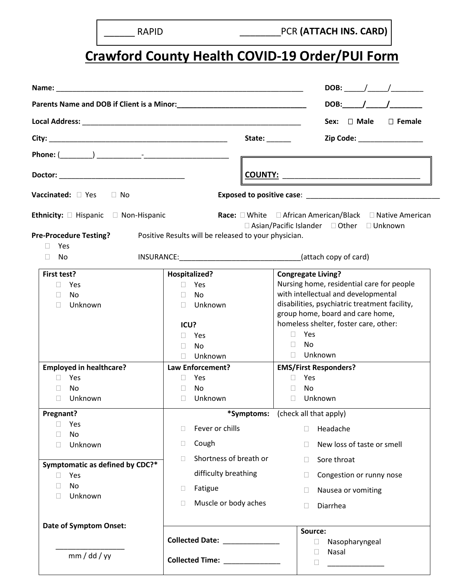\_\_\_\_\_\_ RAPID \_\_\_\_\_\_\_\_PCR **(ATTACH INS. CARD)**

# **Crawford County Health COVID-19 Order/PUI Form**

|                                                                                                                                                                                                               |                                                                                                                                                                                                                                        | DOB: ______/ ______/ __________                                                                                                                                                                                                                                                                                                                                                                                                                                                          |  |
|---------------------------------------------------------------------------------------------------------------------------------------------------------------------------------------------------------------|----------------------------------------------------------------------------------------------------------------------------------------------------------------------------------------------------------------------------------------|------------------------------------------------------------------------------------------------------------------------------------------------------------------------------------------------------------------------------------------------------------------------------------------------------------------------------------------------------------------------------------------------------------------------------------------------------------------------------------------|--|
|                                                                                                                                                                                                               |                                                                                                                                                                                                                                        | DOB: $/$ /                                                                                                                                                                                                                                                                                                                                                                                                                                                                               |  |
|                                                                                                                                                                                                               |                                                                                                                                                                                                                                        | Sex: □ Male □ Female                                                                                                                                                                                                                                                                                                                                                                                                                                                                     |  |
|                                                                                                                                                                                                               | State:                                                                                                                                                                                                                                 | Zip Code: National Code:                                                                                                                                                                                                                                                                                                                                                                                                                                                                 |  |
|                                                                                                                                                                                                               |                                                                                                                                                                                                                                        | <u> Alexandria de la contrada de la contrada de la contrada de la contrada de la contrada de la contrada de la c</u>                                                                                                                                                                                                                                                                                                                                                                     |  |
|                                                                                                                                                                                                               |                                                                                                                                                                                                                                        |                                                                                                                                                                                                                                                                                                                                                                                                                                                                                          |  |
| <b>Vaccinated:</b> □ Yes □ No                                                                                                                                                                                 |                                                                                                                                                                                                                                        |                                                                                                                                                                                                                                                                                                                                                                                                                                                                                          |  |
| <b>Ethnicity:</b> $\Box$ Hispanic $\Box$ Non-Hispanic<br><b>Pre-Procedure Testing?</b><br>Yes<br>No<br>П                                                                                                      | Positive Results will be released to your physician.                                                                                                                                                                                   | <b>Race:</b> □ White □ African American/Black □ Native American<br>□ Asian/Pacific Islander □ Other □ Unknown                                                                                                                                                                                                                                                                                                                                                                            |  |
|                                                                                                                                                                                                               |                                                                                                                                                                                                                                        |                                                                                                                                                                                                                                                                                                                                                                                                                                                                                          |  |
| First test?<br>Yes<br>$\mathbb{R}^n$<br>No<br>П<br>Unknown<br>$\Box$<br><b>Employed in healthcare?</b><br>Yes<br>No.<br>Unknown<br>$\mathbb{R}^n$<br>Pregnant?<br>Yes<br>$\mathbb{R}^n$<br>No<br>П<br>Unknown | Hospitalized?<br>Yes<br>$\Box$<br>No.<br>$\Box$<br>$\Box$ Unknown<br>ICU?<br>Yes<br>$\Box$<br>П.<br>No.<br>Unknown<br>$\Box$<br><b>Law Enforcement?</b><br>Yes<br>No<br>$\Box$<br>Unknown<br>П.<br>Fever or chills<br>П<br>Cough<br>O. | <b>Congregate Living?</b><br>Nursing home, residential care for people<br>with intellectual and developmental<br>disabilities, psychiatric treatment facility,<br>group home, board and care home,<br>homeless shelter, foster care, other:<br>$\Box$<br>Yes<br>No<br>$\mathbb{R}^n$<br>$\Box$ Unknown<br><b>EMS/First Responders?</b><br>Yes<br>No<br>$\mathbb{R}^n$<br>$\Box$<br>Unknown<br>*Symptoms: (check all that apply)<br>Headache<br>П<br>New loss of taste or smell<br>$\Box$ |  |
| Symptomatic as defined by CDC?*<br>Yes<br>No<br>Unknown<br><b>Tale</b>                                                                                                                                        | Shortness of breath or<br>П<br>difficulty breathing<br>Fatigue<br>O.<br>Muscle or body aches<br>n                                                                                                                                      | Sore throat<br>П<br>Congestion or runny nose<br>П<br>Nausea or vomiting<br>П<br>Diarrhea<br>П                                                                                                                                                                                                                                                                                                                                                                                            |  |
| <b>Date of Symptom Onset:</b><br>mm / dd / yy                                                                                                                                                                 | Collected Date: _____________<br>Collected Time: National Collected Time:                                                                                                                                                              | Source:<br>Nasopharyngeal<br>$\Box$<br>Nasal<br>$\Box$<br>$\mathbb{R}^n$                                                                                                                                                                                                                                                                                                                                                                                                                 |  |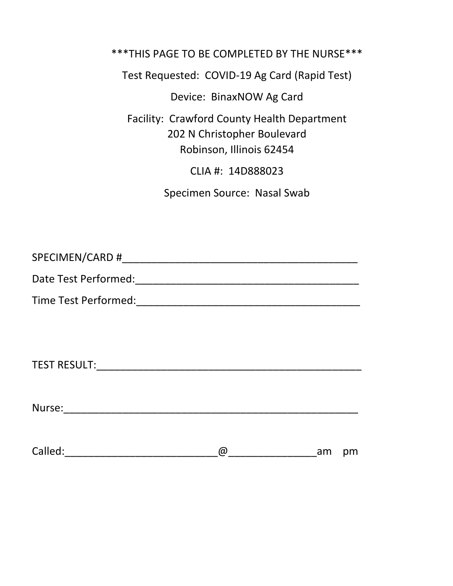| *** THIS PAGE TO BE COMPLETED BY THE NURSE ***                                                                |  |  |
|---------------------------------------------------------------------------------------------------------------|--|--|
| Test Requested: COVID-19 Ag Card (Rapid Test)                                                                 |  |  |
| Device: BinaxNOW Ag Card                                                                                      |  |  |
| <b>Facility: Crawford County Health Department</b><br>202 N Christopher Boulevard<br>Robinson, Illinois 62454 |  |  |
| CLIA #: 14D888023                                                                                             |  |  |
| Specimen Source: Nasal Swab                                                                                   |  |  |

| SPECIMEN/CARD #      |  |
|----------------------|--|
| Date Test Performed: |  |
| Time Test Performed: |  |

TEST RESULT:\_\_\_\_\_\_\_\_\_\_\_\_\_\_\_\_\_\_\_\_\_\_\_\_\_\_\_\_\_\_\_\_\_\_\_\_\_\_\_\_\_\_\_\_\_

Nurse:\_\_\_\_\_\_\_\_\_\_\_\_\_\_\_\_\_\_\_\_\_\_\_\_\_\_\_\_\_\_\_\_\_\_\_\_\_\_\_\_\_\_\_\_\_\_\_\_\_\_

| $C2$ II<br>$\mathbf{H}$<br>Calicu. |  | ົ | ິ |
|------------------------------------|--|---|---|
|------------------------------------|--|---|---|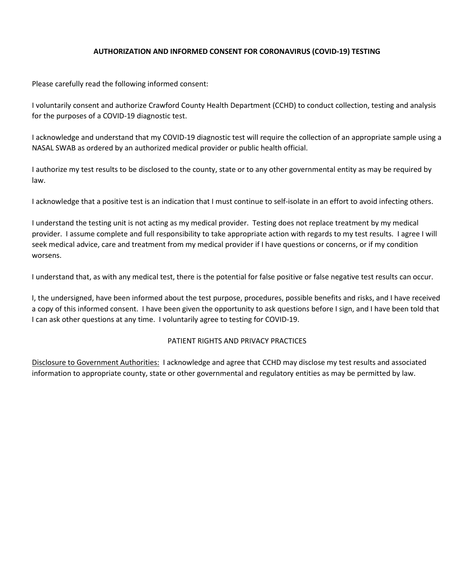### **AUTHORIZATION AND INFORMED CONSENT FOR CORONAVIRUS (COVID-19) TESTING**

Please carefully read the following informed consent:

I voluntarily consent and authorize Crawford County Health Department (CCHD) to conduct collection, testing and analysis for the purposes of a COVID-19 diagnostic test.

I acknowledge and understand that my COVID-19 diagnostic test will require the collection of an appropriate sample using a NASAL SWAB as ordered by an authorized medical provider or public health official.

I authorize my test results to be disclosed to the county, state or to any other governmental entity as may be required by law.

I acknowledge that a positive test is an indication that I must continue to self-isolate in an effort to avoid infecting others.

I understand the testing unit is not acting as my medical provider. Testing does not replace treatment by my medical provider. I assume complete and full responsibility to take appropriate action with regards to my test results. I agree I will seek medical advice, care and treatment from my medical provider if I have questions or concerns, or if my condition worsens.

I understand that, as with any medical test, there is the potential for false positive or false negative test results can occur.

I, the undersigned, have been informed about the test purpose, procedures, possible benefits and risks, and I have received a copy of this informed consent. I have been given the opportunity to ask questions before I sign, and I have been told that I can ask other questions at any time. I voluntarily agree to testing for COVID-19.

#### PATIENT RIGHTS AND PRIVACY PRACTICES

Disclosure to Government Authorities: I acknowledge and agree that CCHD may disclose my test results and associated information to appropriate county, state or other governmental and regulatory entities as may be permitted by law.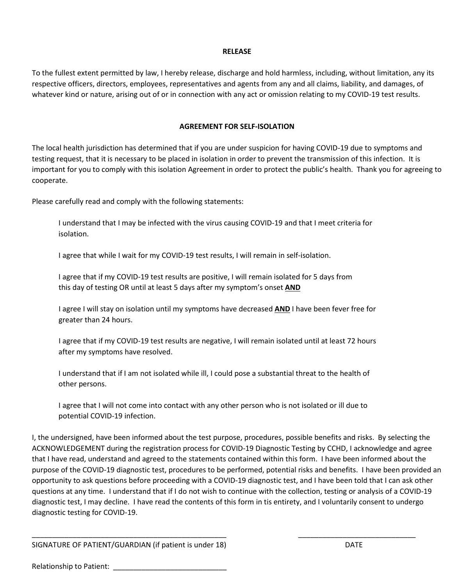#### **RELEASE**

To the fullest extent permitted by law, I hereby release, discharge and hold harmless, including, without limitation, any its respective officers, directors, employees, representatives and agents from any and all claims, liability, and damages, of whatever kind or nature, arising out of or in connection with any act or omission relating to my COVID-19 test results.

#### **AGREEMENT FOR SELF-ISOLATION**

The local health jurisdiction has determined that if you are under suspicion for having COVID-19 due to symptoms and testing request, that it is necessary to be placed in isolation in order to prevent the transmission of this infection. It is important for you to comply with this isolation Agreement in order to protect the public's health. Thank you for agreeing to cooperate.

Please carefully read and comply with the following statements:

I understand that I may be infected with the virus causing COVID-19 and that I meet criteria for isolation.

I agree that while I wait for my COVID-19 test results, I will remain in self-isolation.

I agree that if my COVID-19 test results are positive, I will remain isolated for 5 days from this day of testing OR until at least 5 days after my symptom's onset **AND**

I agree I will stay on isolation until my symptoms have decreased **AND** I have been fever free for greater than 24 hours.

I agree that if my COVID-19 test results are negative, I will remain isolated until at least 72 hours after my symptoms have resolved.

I understand that if I am not isolated while ill, I could pose a substantial threat to the health of other persons.

I agree that I will not come into contact with any other person who is not isolated or ill due to potential COVID-19 infection.

I, the undersigned, have been informed about the test purpose, procedures, possible benefits and risks. By selecting the ACKNOWLEDGEMENT during the registration process for COVID-19 Diagnostic Testing by CCHD, I acknowledge and agree that I have read, understand and agreed to the statements contained within this form. I have been informed about the purpose of the COVID-19 diagnostic test, procedures to be performed, potential risks and benefits. I have been provided an opportunity to ask questions before proceeding with a COVID-19 diagnostic test, and I have been told that I can ask other questions at any time. I understand that if I do not wish to continue with the collection, testing or analysis of a COVID-19 diagnostic test, I may decline. I have read the contents of this form in tis entirety, and I voluntarily consent to undergo diagnostic testing for COVID-19.

\_\_\_\_\_\_\_\_\_\_\_\_\_\_\_\_\_\_\_\_\_\_\_\_\_\_\_\_\_\_\_\_\_\_\_\_\_\_\_\_\_\_\_\_\_\_\_\_ \_\_\_\_\_\_\_\_\_\_\_\_\_\_\_\_\_\_\_\_\_\_\_\_\_\_\_\_\_

Relationship to Patient: \_\_\_\_\_\_\_\_\_\_\_\_\_\_\_\_\_\_\_\_\_\_\_\_\_\_\_\_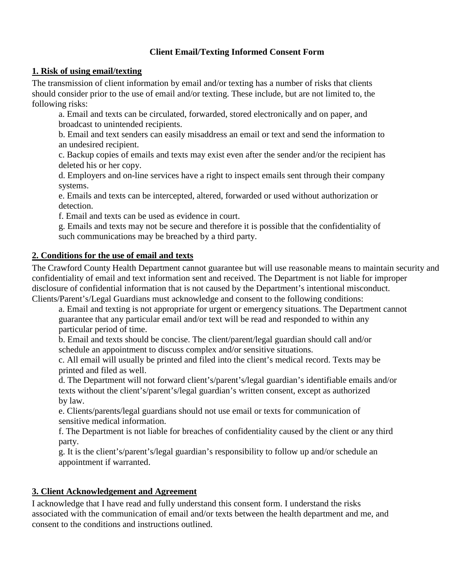## **Client Email/Texting Informed Consent Form**

## **1. Risk of using email/texting**

The transmission of client information by email and/or texting has a number of risks that clients should consider prior to the use of email and/or texting. These include, but are not limited to, the following risks:

a. Email and texts can be circulated, forwarded, stored electronically and on paper, and broadcast to unintended recipients.

b. Email and text senders can easily misaddress an email or text and send the information to an undesired recipient.

c. Backup copies of emails and texts may exist even after the sender and/or the recipient has deleted his or her copy.

d. Employers and on-line services have a right to inspect emails sent through their company systems.

e. Emails and texts can be intercepted, altered, forwarded or used without authorization or detection.

f. Email and texts can be used as evidence in court.

g. Emails and texts may not be secure and therefore it is possible that the confidentiality of such communications may be breached by a third party.

## **2. Conditions for the use of email and texts**

The Crawford County Health Department cannot guarantee but will use reasonable means to maintain security and confidentiality of email and text information sent and received. The Department is not liable for improper disclosure of confidential information that is not caused by the Department's intentional misconduct. Clients/Parent's/Legal Guardians must acknowledge and consent to the following conditions:

a. Email and texting is not appropriate for urgent or emergency situations. The Department cannot guarantee that any particular email and/or text will be read and responded to within any particular period of time.

b. Email and texts should be concise. The client/parent/legal guardian should call and/or schedule an appointment to discuss complex and/or sensitive situations.

c. All email will usually be printed and filed into the client's medical record. Texts may be printed and filed as well.

d. The Department will not forward client's/parent's/legal guardian's identifiable emails and/or texts without the client's/parent's/legal guardian's written consent, except as authorized by law.

e. Clients/parents/legal guardians should not use email or texts for communication of sensitive medical information.

f. The Department is not liable for breaches of confidentiality caused by the client or any third party.

g. It is the client's/parent's/legal guardian's responsibility to follow up and/or schedule an appointment if warranted.

## **3. Client Acknowledgement and Agreement**

I acknowledge that I have read and fully understand this consent form. I understand the risks associated with the communication of email and/or texts between the health department and me, and consent to the conditions and instructions outlined.